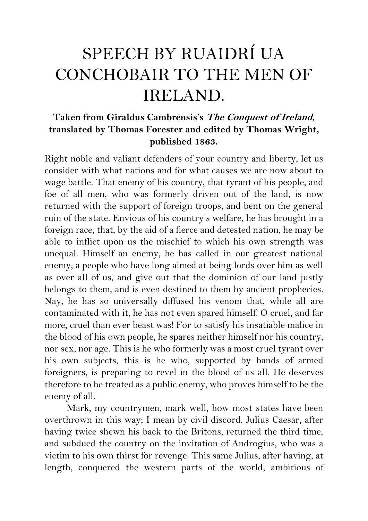## SPEECH BY RUAIDRÍ UA CONCHOBAIR TO THE MEN OF IRELAND.

## **Taken from Giraldus Cambrensis's The Conquest of Ireland, translated by Thomas Forester and edited by Thomas Wright, published 1863.**

Right noble and valiant defenders of your country and liberty, let us consider with what nations and for what causes we are now about to wage battle. That enemy of his country, that tyrant of his people, and foe of all men, who was formerly driven out of the land, is now returned with the support of foreign troops, and bent on the general ruin of the state. Envious of his country's welfare, he has brought in a foreign race, that, by the aid of a fierce and detested nation, he may be able to inflict upon us the mischief to which his own strength was unequal. Himself an enemy, he has called in our greatest national enemy; a people who have long aimed at being lords over him as well as over all of us, and give out that the dominion of our land justly belongs to them, and is even destined to them by ancient prophecies. Nay, he has so universally diffused his venom that, while all are contaminated with it, he has not even spared himself. O cruel, and far more, cruel than ever beast was! For to satisfy his insatiable malice in the blood of his own people, he spares neither himself nor his country, nor sex, nor age. This is he who formerly was a most cruel tyrant over his own subjects, this is he who, supported by bands of armed foreigners, is preparing to revel in the blood of us all. He deserves therefore to be treated as a public enemy, who proves himself to be the enemy of all.

Mark, my countrymen, mark well, how most states have been overthrown in this way; I mean by civil discord. Julius Caesar, after having twice shewn his back to the Britons, returned the third time, and subdued the country on the invitation of Androgius, who was a victim to his own thirst for revenge. This same Julius, after having, at length, conquered the western parts of the world, ambitious of